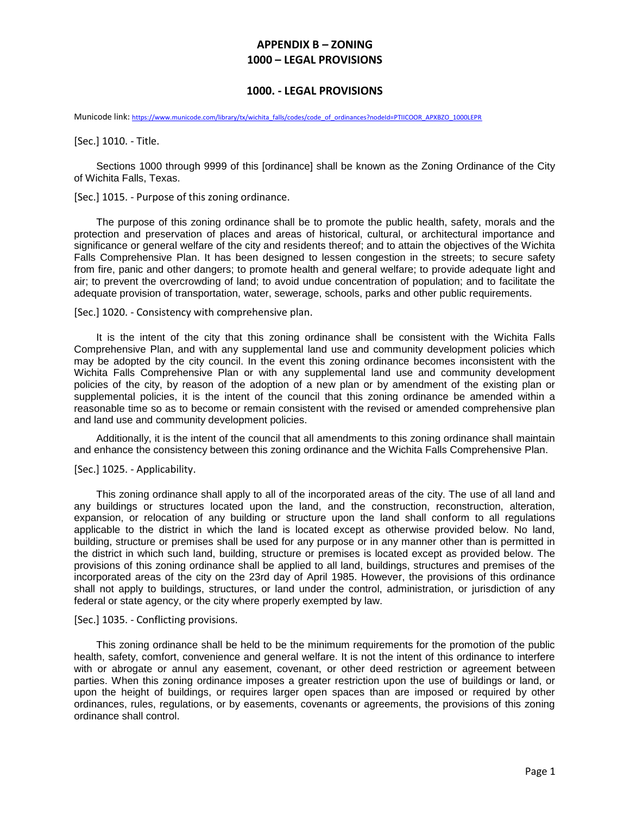## **APPENDIX B – ZONING 1000 – LEGAL PROVISIONS**

## **1000. - LEGAL PROVISIONS**

Municode link: [https://www.municode.com/library/tx/wichita\\_falls/codes/code\\_of\\_ordinances?nodeId=PTIICOOR\\_APXBZO\\_1000LEPR](https://www.municode.com/library/tx/wichita_falls/codes/code_of_ordinances?nodeId=PTIICOOR_APXBZO_1000LEPR)

[Sec.] 1010. - Title.

Sections 1000 through 9999 of this [ordinance] shall be known as the Zoning Ordinance of the City of Wichita Falls, Texas.

[Sec.] 1015. - Purpose of this zoning ordinance.

The purpose of this zoning ordinance shall be to promote the public health, safety, morals and the protection and preservation of places and areas of historical, cultural, or architectural importance and significance or general welfare of the city and residents thereof; and to attain the objectives of the Wichita Falls Comprehensive Plan. It has been designed to lessen congestion in the streets; to secure safety from fire, panic and other dangers; to promote health and general welfare; to provide adequate light and air; to prevent the overcrowding of land; to avoid undue concentration of population; and to facilitate the adequate provision of transportation, water, sewerage, schools, parks and other public requirements.

[Sec.] 1020. - Consistency with comprehensive plan.

It is the intent of the city that this zoning ordinance shall be consistent with the Wichita Falls Comprehensive Plan, and with any supplemental land use and community development policies which may be adopted by the city council. In the event this zoning ordinance becomes inconsistent with the Wichita Falls Comprehensive Plan or with any supplemental land use and community development policies of the city, by reason of the adoption of a new plan or by amendment of the existing plan or supplemental policies, it is the intent of the council that this zoning ordinance be amended within a reasonable time so as to become or remain consistent with the revised or amended comprehensive plan and land use and community development policies.

Additionally, it is the intent of the council that all amendments to this zoning ordinance shall maintain and enhance the consistency between this zoning ordinance and the Wichita Falls Comprehensive Plan.

[Sec.] 1025. - Applicability.

This zoning ordinance shall apply to all of the incorporated areas of the city. The use of all land and any buildings or structures located upon the land, and the construction, reconstruction, alteration, expansion, or relocation of any building or structure upon the land shall conform to all regulations applicable to the district in which the land is located except as otherwise provided below. No land, building, structure or premises shall be used for any purpose or in any manner other than is permitted in the district in which such land, building, structure or premises is located except as provided below. The provisions of this zoning ordinance shall be applied to all land, buildings, structures and premises of the incorporated areas of the city on the 23rd day of April 1985. However, the provisions of this ordinance shall not apply to buildings, structures, or land under the control, administration, or jurisdiction of any federal or state agency, or the city where properly exempted by law.

[Sec.] 1035. - Conflicting provisions.

This zoning ordinance shall be held to be the minimum requirements for the promotion of the public health, safety, comfort, convenience and general welfare. It is not the intent of this ordinance to interfere with or abrogate or annul any easement, covenant, or other deed restriction or agreement between parties. When this zoning ordinance imposes a greater restriction upon the use of buildings or land, or upon the height of buildings, or requires larger open spaces than are imposed or required by other ordinances, rules, regulations, or by easements, covenants or agreements, the provisions of this zoning ordinance shall control.